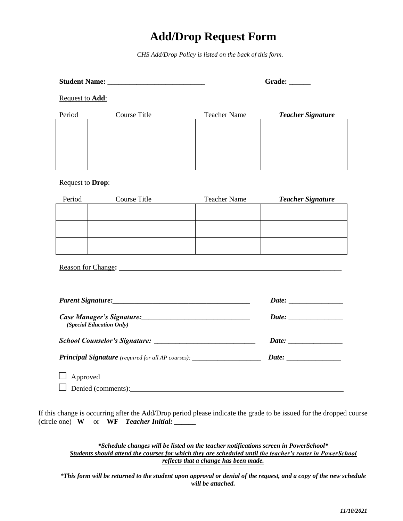## **Add/Drop Request Form**

*CHS Add/Drop Policy is listed on the back of this form.*

|                                                                                  |                                                                                                                                                                                                                                |                     | Grade: _____             |  |
|----------------------------------------------------------------------------------|--------------------------------------------------------------------------------------------------------------------------------------------------------------------------------------------------------------------------------|---------------------|--------------------------|--|
| Request to <b>Add</b> :                                                          |                                                                                                                                                                                                                                |                     |                          |  |
| Period                                                                           | Course Title                                                                                                                                                                                                                   | <b>Teacher Name</b> | <b>Teacher Signature</b> |  |
|                                                                                  |                                                                                                                                                                                                                                |                     |                          |  |
|                                                                                  |                                                                                                                                                                                                                                |                     |                          |  |
|                                                                                  |                                                                                                                                                                                                                                |                     |                          |  |
| <b>Request to Drop:</b>                                                          |                                                                                                                                                                                                                                |                     |                          |  |
| Period                                                                           | Course Title                                                                                                                                                                                                                   | <b>Teacher Name</b> | <b>Teacher Signature</b> |  |
|                                                                                  |                                                                                                                                                                                                                                |                     |                          |  |
|                                                                                  |                                                                                                                                                                                                                                |                     |                          |  |
|                                                                                  |                                                                                                                                                                                                                                |                     |                          |  |
|                                                                                  | Reason for Change: New York Change and Security Changes and Security Changes and Security Changes and Security Changes and Security Changes and Security Changes and Security Changes and Security Changes and Security Change |                     |                          |  |
|                                                                                  |                                                                                                                                                                                                                                |                     |                          |  |
|                                                                                  |                                                                                                                                                                                                                                |                     |                          |  |
| (Special Education Only)                                                         |                                                                                                                                                                                                                                |                     |                          |  |
|                                                                                  |                                                                                                                                                                                                                                | Date:               |                          |  |
| Principal Signature (required for all AP courses): _____________________________ |                                                                                                                                                                                                                                |                     |                          |  |
| Approved                                                                         |                                                                                                                                                                                                                                |                     |                          |  |
|                                                                                  | Denied (comments):                                                                                                                                                                                                             |                     |                          |  |

If this change is occurring after the Add/Drop period please indicate the grade to be issued for the dropped course (circle one) **W** or **WF** *Teacher Initial: \_\_\_\_\_\_* 

*\*Schedule changes will be listed on the teacher notifications screen in PowerSchool\* Students should attend the courses for which they are scheduled until the teacher's roster in PowerSchool reflects that a change has been made.*

*\*This form will be returned to the student upon approval or denial of the request, and a copy of the new schedule will be attached.*